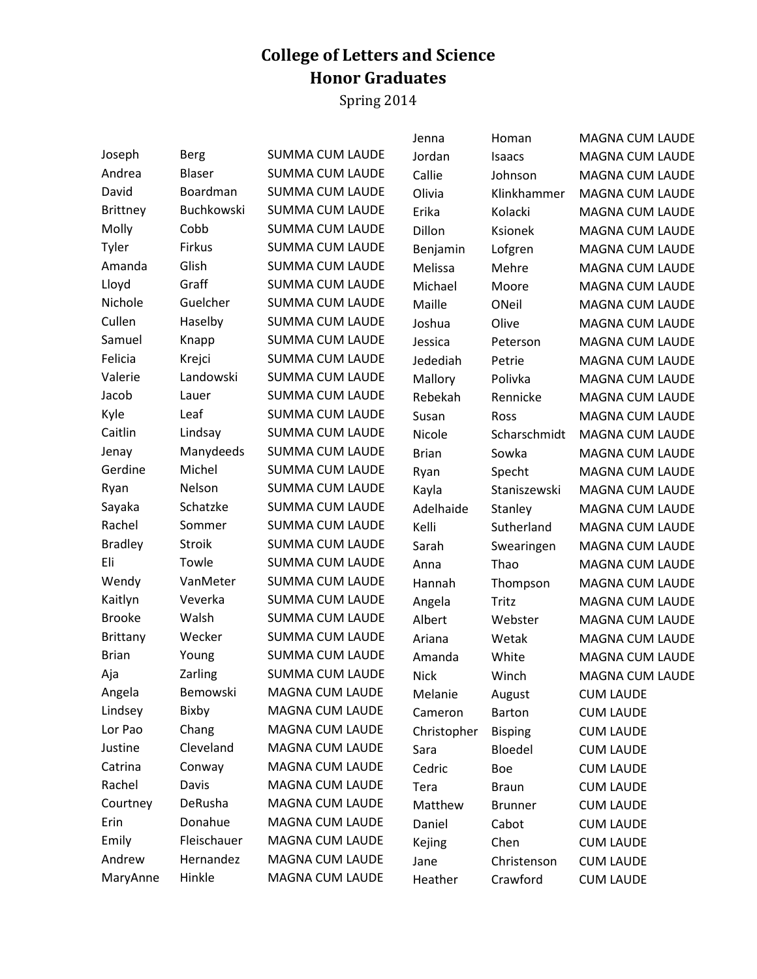## **College of Letters and Science Honor Graduates**

Spring 2014

|                 |               |                        | Jenna        | Homan          | <b>MAGNA CUM LAUDE</b> |
|-----------------|---------------|------------------------|--------------|----------------|------------------------|
| Joseph          | Berg          | <b>SUMMA CUM LAUDE</b> | Jordan       | <b>Isaacs</b>  | <b>MAGNA CUM LAUDE</b> |
| Andrea          | Blaser        | <b>SUMMA CUM LAUDE</b> | Callie       | Johnson        | <b>MAGNA CUM LAUDE</b> |
| David           | Boardman      | <b>SUMMA CUM LAUDE</b> | Olivia       | Klinkhammer    | <b>MAGNA CUM LAUDE</b> |
| <b>Brittney</b> | Buchkowski    | <b>SUMMA CUM LAUDE</b> | Erika        | Kolacki        | <b>MAGNA CUM LAUDE</b> |
| Molly           | Cobb          | <b>SUMMA CUM LAUDE</b> | Dillon       | Ksionek        | <b>MAGNA CUM LAUDE</b> |
| Tyler           | Firkus        | <b>SUMMA CUM LAUDE</b> | Benjamin     | Lofgren        | <b>MAGNA CUM LAUDE</b> |
| Amanda          | Glish         | <b>SUMMA CUM LAUDE</b> | Melissa      | Mehre          | <b>MAGNA CUM LAUDE</b> |
| Lloyd           | Graff         | <b>SUMMA CUM LAUDE</b> | Michael      | Moore          | <b>MAGNA CUM LAUDE</b> |
| Nichole         | Guelcher      | <b>SUMMA CUM LAUDE</b> | Maille       | ONeil          | <b>MAGNA CUM LAUDE</b> |
| Cullen          | Haselby       | <b>SUMMA CUM LAUDE</b> | Joshua       | Olive          | <b>MAGNA CUM LAUDE</b> |
| Samuel          | Knapp         | <b>SUMMA CUM LAUDE</b> | Jessica      | Peterson       | <b>MAGNA CUM LAUDE</b> |
| Felicia         | Krejci        | <b>SUMMA CUM LAUDE</b> | Jedediah     | Petrie         | <b>MAGNA CUM LAUDE</b> |
| Valerie         | Landowski     | <b>SUMMA CUM LAUDE</b> | Mallory      | Polivka        | <b>MAGNA CUM LAUDE</b> |
| Jacob           | Lauer         | <b>SUMMA CUM LAUDE</b> | Rebekah      | Rennicke       | <b>MAGNA CUM LAUDE</b> |
| Kyle            | Leaf          | <b>SUMMA CUM LAUDE</b> | Susan        | Ross           | <b>MAGNA CUM LAUDE</b> |
| Caitlin         | Lindsay       | <b>SUMMA CUM LAUDE</b> | Nicole       | Scharschmidt   | <b>MAGNA CUM LAUDE</b> |
| Jenay           | Manydeeds     | <b>SUMMA CUM LAUDE</b> | <b>Brian</b> | Sowka          | <b>MAGNA CUM LAUDE</b> |
| Gerdine         | Michel        | <b>SUMMA CUM LAUDE</b> | Ryan         | Specht         | <b>MAGNA CUM LAUDE</b> |
| Ryan            | Nelson        | <b>SUMMA CUM LAUDE</b> | Kayla        | Staniszewski   | <b>MAGNA CUM LAUDE</b> |
| Sayaka          | Schatzke      | <b>SUMMA CUM LAUDE</b> | Adelhaide    | Stanley        | <b>MAGNA CUM LAUDE</b> |
| Rachel          | Sommer        | <b>SUMMA CUM LAUDE</b> | Kelli        | Sutherland     | <b>MAGNA CUM LAUDE</b> |
| <b>Bradley</b>  | <b>Stroik</b> | <b>SUMMA CUM LAUDE</b> | Sarah        | Swearingen     | <b>MAGNA CUM LAUDE</b> |
| Eli             | Towle         | <b>SUMMA CUM LAUDE</b> | Anna         | Thao           | <b>MAGNA CUM LAUDE</b> |
| Wendy           | VanMeter      | <b>SUMMA CUM LAUDE</b> | Hannah       | Thompson       | <b>MAGNA CUM LAUDE</b> |
| Kaitlyn         | Veverka       | <b>SUMMA CUM LAUDE</b> | Angela       | Tritz          | <b>MAGNA CUM LAUDE</b> |
| <b>Brooke</b>   | Walsh         | <b>SUMMA CUM LAUDE</b> | Albert       | Webster        | <b>MAGNA CUM LAUDE</b> |
| <b>Brittany</b> | Wecker        | <b>SUMMA CUM LAUDE</b> | Ariana       | Wetak          | <b>MAGNA CUM LAUDE</b> |
| <b>Brian</b>    | Young         | <b>SUMMA CUM LAUDE</b> | Amanda       | White          | <b>MAGNA CUM LAUDE</b> |
| Aja             | Zarling       | <b>SUMMA CUM LAUDE</b> | <b>Nick</b>  | Winch          | <b>MAGNA CUM LAUDE</b> |
| Angela          | Bemowski      | MAGNA CUM LAUDE        | Melanie      | August         | <b>CUM LAUDE</b>       |
| Lindsey         | Bixby         | MAGNA CUM LAUDE        | Cameron      | <b>Barton</b>  | <b>CUM LAUDE</b>       |
| Lor Pao         | Chang         | MAGNA CUM LAUDE        | Christopher  | <b>Bisping</b> | <b>CUM LAUDE</b>       |
| Justine         | Cleveland     | <b>MAGNA CUM LAUDE</b> | Sara         | Bloedel        | <b>CUM LAUDE</b>       |
| Catrina         | Conway        | MAGNA CUM LAUDE        | Cedric       | Boe            | <b>CUM LAUDE</b>       |
| Rachel          | Davis         | MAGNA CUM LAUDE        | Tera         | <b>Braun</b>   | <b>CUM LAUDE</b>       |
| Courtney        | DeRusha       | <b>MAGNA CUM LAUDE</b> | Matthew      | <b>Brunner</b> | <b>CUM LAUDE</b>       |
| Erin            | Donahue       | MAGNA CUM LAUDE        | Daniel       | Cabot          | <b>CUM LAUDE</b>       |
| Emily           | Fleischauer   | <b>MAGNA CUM LAUDE</b> | Kejing       | Chen           | <b>CUM LAUDE</b>       |
| Andrew          | Hernandez     | MAGNA CUM LAUDE        | Jane         | Christenson    | <b>CUM LAUDE</b>       |
| MaryAnne        | Hinkle        | MAGNA CUM LAUDE        | Heather      | Crawford       | <b>CUM LAUDE</b>       |
|                 |               |                        |              |                |                        |